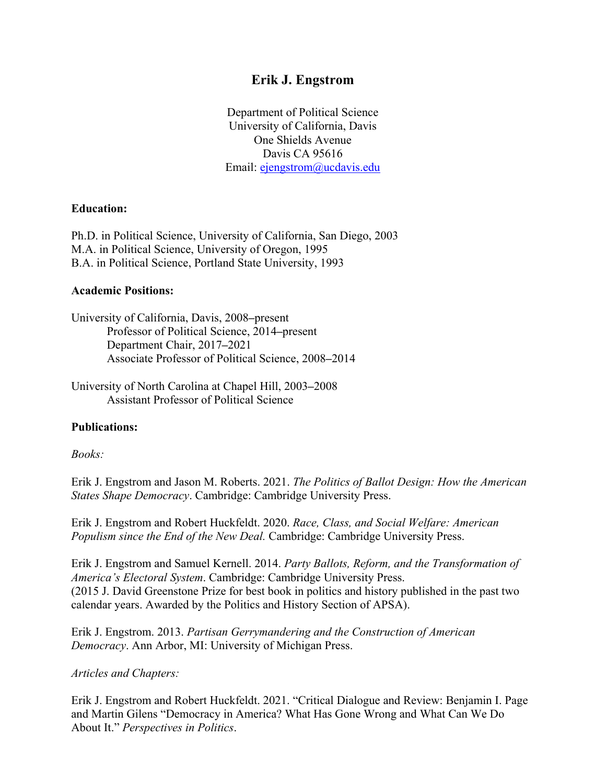# **Erik J. Engstrom**

Department of Political Science University of California, Davis One Shields Avenue Davis CA 95616 Email: [ejengstrom@ucdavis.edu](mailto:ejengstrom@ucdavis.edu)

### **Education:**

Ph.D. in Political Science, University of California, San Diego, 2003 M.A. in Political Science, University of Oregon, 1995 B.A. in Political Science, Portland State University, 1993

### **Academic Positions:**

University of California, Davis, 2008**–**present Professor of Political Science, 2014**–**present Department Chair, 2017**–**2021 Associate Professor of Political Science, 2008**–**2014

University of North Carolina at Chapel Hill, 2003**–**2008 Assistant Professor of Political Science

#### **Publications:**

#### *Books:*

Erik J. Engstrom and Jason M. Roberts. 2021. *The Politics of Ballot Design: How the American States Shape Democracy*. Cambridge: Cambridge University Press.

Erik J. Engstrom and Robert Huckfeldt. 2020. *Race, Class, and Social Welfare: American Populism since the End of the New Deal.* Cambridge: Cambridge University Press.

Erik J. Engstrom and Samuel Kernell. 2014. *Party Ballots, Reform, and the Transformation of America's Electoral System*. Cambridge: Cambridge University Press. (2015 J. David Greenstone Prize for best book in politics and history published in the past two calendar years. Awarded by the Politics and History Section of APSA).

Erik J. Engstrom. 2013. *Partisan Gerrymandering and the Construction of American Democracy*. Ann Arbor, MI: University of Michigan Press.

#### *Articles and Chapters:*

Erik J. Engstrom and Robert Huckfeldt. 2021. "Critical Dialogue and Review: Benjamin I. Page and Martin Gilens "Democracy in America? What Has Gone Wrong and What Can We Do About It." *Perspectives in Politics*.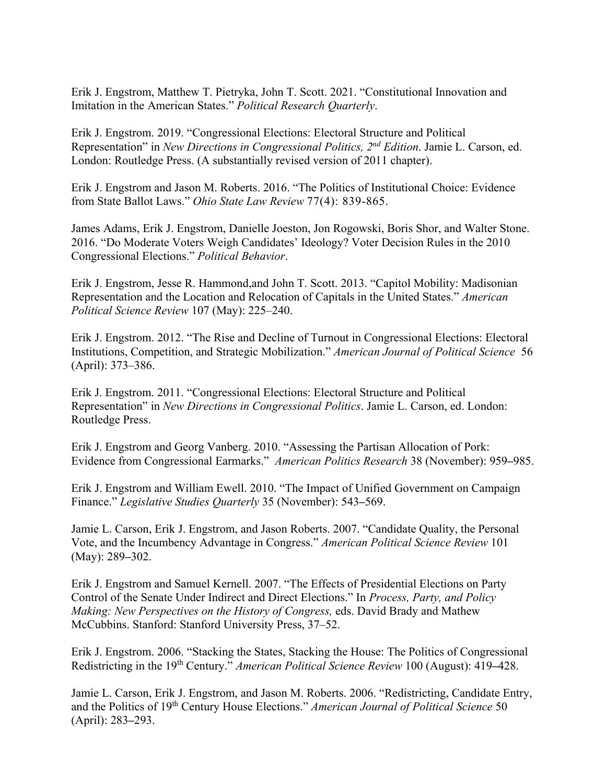Erik J. Engstrom, Matthew T. Pietryka, John T. Scott. 2021. "Constitutional Innovation and Imitation in the American States." *Political Research Quarterly*.

Erik J. Engstrom. 2019. "Congressional Elections: Electoral Structure and Political Representation" in *New Directions in Congressional Politics, 2nd Edition*. Jamie L. Carson, ed. London: Routledge Press. (A substantially revised version of 2011 chapter).

Erik J. Engstrom and Jason M. Roberts. 2016. "The Politics of Institutional Choice: Evidence from State Ballot Laws." *Ohio State Law Review* 77(4): 839-865.

James Adams, Erik J. Engstrom, Danielle Joeston, Jon Rogowski, Boris Shor, and Walter Stone. 2016. "Do Moderate Voters Weigh Candidates' Ideology? Voter Decision Rules in the 2010 Congressional Elections." *Political Behavior*.

Erik J. Engstrom, Jesse R. Hammond,and John T. Scott. 2013. "Capitol Mobility: Madisonian Representation and the Location and Relocation of Capitals in the United States." *American Political Science Review* 107 (May): 225–240.

Erik J. Engstrom. 2012. "The Rise and Decline of Turnout in Congressional Elections: Electoral Institutions, Competition, and Strategic Mobilization." *American Journal of Political Science* 56 (April): 373–386.

Erik J. Engstrom. 2011. "Congressional Elections: Electoral Structure and Political Representation" in *New Directions in Congressional Politics*. Jamie L. Carson, ed. London: Routledge Press.

Erik J. Engstrom and Georg Vanberg. 2010. "Assessing the Partisan Allocation of Pork: Evidence from Congressional Earmarks." *American Politics Research* 38 (November): 959**–**985.

Erik J. Engstrom and William Ewell. 2010. "The Impact of Unified Government on Campaign Finance." *Legislative Studies Quarterly* 35 (November): 543**–**569.

Jamie L. Carson, Erik J. Engstrom, and Jason Roberts. 2007. "Candidate Quality, the Personal Vote, and the Incumbency Advantage in Congress." *American Political Science Review* 101 (May): 289**–**302.

Erik J. Engstrom and Samuel Kernell. 2007. "The Effects of Presidential Elections on Party Control of the Senate Under Indirect and Direct Elections." In *Process, Party, and Policy Making: New Perspectives on the History of Congress,* eds. David Brady and Mathew McCubbins. Stanford: Stanford University Press, 37–52.

Erik J. Engstrom. 2006. "Stacking the States, Stacking the House: The Politics of Congressional Redistricting in the 19th Century." *American Political Science Review* 100 (August): 419**–**428.

Jamie L. Carson, Erik J. Engstrom, and Jason M. Roberts. 2006. "Redistricting, Candidate Entry, and the Politics of 19th Century House Elections." *American Journal of Political Science* 50 (April): 283**–**293.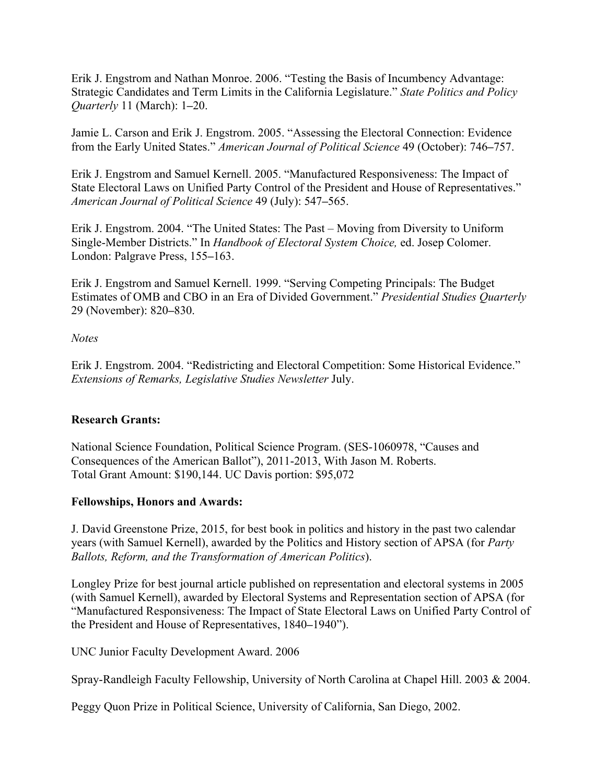Erik J. Engstrom and Nathan Monroe. 2006. "Testing the Basis of Incumbency Advantage: Strategic Candidates and Term Limits in the California Legislature." *State Politics and Policy Quarterly* 11 (March): 1**–**20.

Jamie L. Carson and Erik J. Engstrom. 2005. "Assessing the Electoral Connection: Evidence from the Early United States." *American Journal of Political Science* 49 (October): 746**–**757.

Erik J. Engstrom and Samuel Kernell. 2005. "Manufactured Responsiveness: The Impact of State Electoral Laws on Unified Party Control of the President and House of Representatives." *American Journal of Political Science* 49 (July): 547**–**565.

Erik J. Engstrom. 2004. "The United States: The Past – Moving from Diversity to Uniform Single-Member Districts." In *Handbook of Electoral System Choice,* ed. Josep Colomer. London: Palgrave Press, 155**–**163.

Erik J. Engstrom and Samuel Kernell. 1999. "Serving Competing Principals: The Budget Estimates of OMB and CBO in an Era of Divided Government." *Presidential Studies Quarterly* 29 (November): 820**–**830.

*Notes*

Erik J. Engstrom. 2004. "Redistricting and Electoral Competition: Some Historical Evidence." *Extensions of Remarks, Legislative Studies Newsletter* July.

## **Research Grants:**

National Science Foundation, Political Science Program. (SES-1060978, "Causes and Consequences of the American Ballot"), 2011-2013, With Jason M. Roberts. Total Grant Amount: \$190,144. UC Davis portion: \$95,072

## **Fellowships, Honors and Awards:**

J. David Greenstone Prize, 2015, for best book in politics and history in the past two calendar years (with Samuel Kernell), awarded by the Politics and History section of APSA (for *Party Ballots, Reform, and the Transformation of American Politics*).

Longley Prize for best journal article published on representation and electoral systems in 2005 (with Samuel Kernell), awarded by Electoral Systems and Representation section of APSA (for "Manufactured Responsiveness: The Impact of State Electoral Laws on Unified Party Control of the President and House of Representatives, 1840**–**1940").

UNC Junior Faculty Development Award. 2006

Spray-Randleigh Faculty Fellowship, University of North Carolina at Chapel Hill. 2003 & 2004.

Peggy Quon Prize in Political Science, University of California, San Diego, 2002.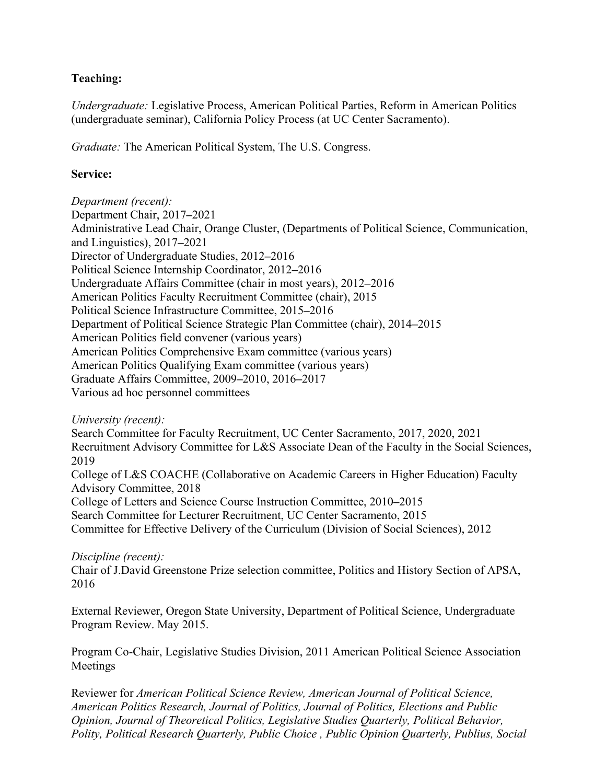## **Teaching:**

*Undergraduate:* Legislative Process, American Political Parties, Reform in American Politics (undergraduate seminar), California Policy Process (at UC Center Sacramento).

*Graduate:* The American Political System, The U.S. Congress.

### **Service:**

*Department (recent):*  Department Chair, 2017**–**2021 Administrative Lead Chair, Orange Cluster, (Departments of Political Science, Communication, and Linguistics), 2017**–**2021 Director of Undergraduate Studies, 2012**–**2016 Political Science Internship Coordinator, 2012**–**2016 Undergraduate Affairs Committee (chair in most years), 2012**–**2016 American Politics Faculty Recruitment Committee (chair), 2015 Political Science Infrastructure Committee, 2015**–**2016 Department of Political Science Strategic Plan Committee (chair), 2014**–**2015 American Politics field convener (various years) American Politics Comprehensive Exam committee (various years) American Politics Qualifying Exam committee (various years) Graduate Affairs Committee, 2009**–**2010, 2016**–**2017 Various ad hoc personnel committees

*University (recent):* 

Search Committee for Faculty Recruitment, UC Center Sacramento, 2017, 2020, 2021 Recruitment Advisory Committee for L&S Associate Dean of the Faculty in the Social Sciences, 2019

College of L&S COACHE (Collaborative on Academic Careers in Higher Education) Faculty Advisory Committee, 2018

College of Letters and Science Course Instruction Committee, 2010**–**2015

Search Committee for Lecturer Recruitment, UC Center Sacramento, 2015

Committee for Effective Delivery of the Curriculum (Division of Social Sciences), 2012

### *Discipline (recent):*

Chair of J.David Greenstone Prize selection committee, Politics and History Section of APSA, 2016

External Reviewer, Oregon State University, Department of Political Science, Undergraduate Program Review. May 2015.

Program Co-Chair, Legislative Studies Division, 2011 American Political Science Association Meetings

Reviewer for *American Political Science Review, American Journal of Political Science, American Politics Research, Journal of Politics, Journal of Politics, Elections and Public Opinion, Journal of Theoretical Politics, Legislative Studies Quarterly, Political Behavior, Polity, Political Research Quarterly, Public Choice , Public Opinion Quarterly, Publius, Social*